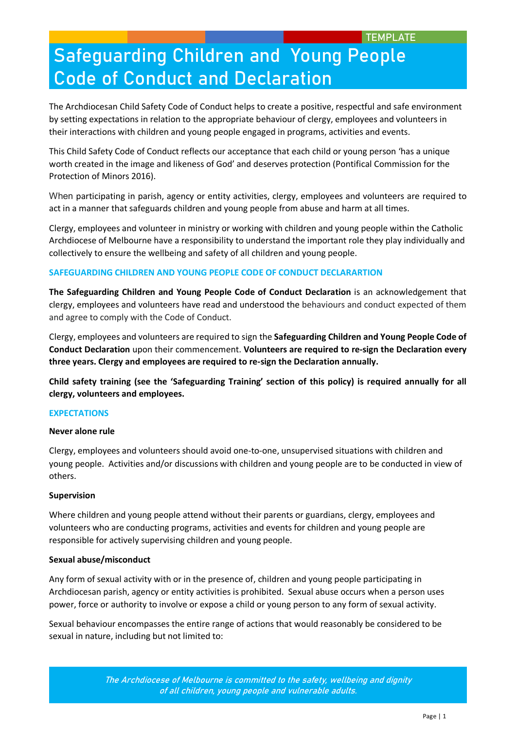The Archdiocesan Child Safety Code of Conduct helps to create a positive, respectful and safe environment by setting expectations in relation to the appropriate behaviour of clergy, employees and volunteers in their interactions with children and young people engaged in programs, activities and events.

This Child Safety Code of Conduct reflects our acceptance that each child or young person 'has a unique worth created in the image and likeness of God' and deserves protection (Pontifical Commission for the Protection of Minors 2016).

When participating in parish, agency or entity activities, clergy, employees and volunteers are required to act in a manner that safeguards children and young people from abuse and harm at all times.

Clergy, employees and volunteer in ministry or working with children and young people within the Catholic Archdiocese of Melbourne have a responsibility to understand the important role they play individually and collectively to ensure the wellbeing and safety of all children and young people.

## **SAFEGUARDING CHILDREN AND YOUNG PEOPLE CODE OF CONDUCT DECLARARTION**

**The Safeguarding Children and Young People Code of Conduct Declaration** is an acknowledgement that clergy, employees and volunteers have read and understood the behaviours and conduct expected of them and agree to comply with the Code of Conduct.

Clergy, employees and volunteers are required to sign the **Safeguarding Children and Young People Code of Conduct Declaration** upon their commencement. **Volunteers are required to re-sign the Declaration every three years. Clergy and employees are required to re-sign the Declaration annually.** 

**Child safety training (see the 'Safeguarding Training' section of this policy) is required annually for all clergy, volunteers and employees.** 

### **EXPECTATIONS**

### **Never alone rule**

Clergy, employees and volunteers should avoid one-to-one, unsupervised situations with children and young people. Activities and/or discussions with children and young people are to be conducted in view of others.

### **Supervision**

Where children and young people attend without their parents or guardians, clergy, employees and volunteers who are conducting programs, activities and events for children and young people are responsible for actively supervising children and young people.

### **Sexual abuse/misconduct**

Any form of sexual activity with or in the presence of, children and young people participating in Archdiocesan parish, agency or entity activities is prohibited. Sexual abuse occurs when a person uses power, force or authority to involve or expose a child or young person to any form of sexual activity.

Sexual behaviour encompasses the entire range of actions that would reasonably be considered to be sexual in nature, including but not limited to: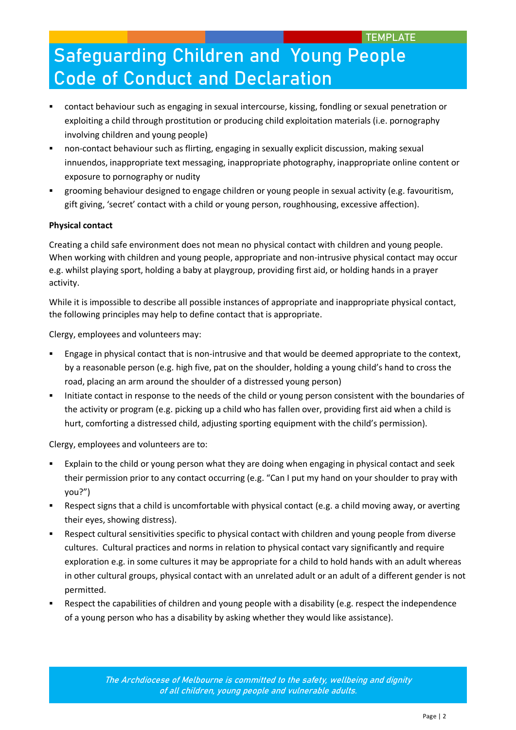- contact behaviour such as engaging in sexual intercourse, kissing, fondling or sexual penetration or exploiting a child through prostitution or producing child exploitation materials (i.e. pornography involving children and young people)
- non-contact behaviour such as flirting, engaging in sexually explicit discussion, making sexual innuendos, inappropriate text messaging, inappropriate photography, inappropriate online content or exposure to pornography or nudity
- grooming behaviour designed to engage children or young people in sexual activity (e.g. favouritism, gift giving, 'secret' contact with a child or young person, roughhousing, excessive affection).

## **Physical contact**

Creating a child safe environment does not mean no physical contact with children and young people. When working with children and young people, appropriate and non-intrusive physical contact may occur e.g. whilst playing sport, holding a baby at playgroup, providing first aid, or holding hands in a prayer activity.

While it is impossible to describe all possible instances of appropriate and inappropriate physical contact, the following principles may help to define contact that is appropriate.

Clergy, employees and volunteers may:

- Engage in physical contact that is non-intrusive and that would be deemed appropriate to the context, by a reasonable person (e.g. high five, pat on the shoulder, holding a young child's hand to cross the road, placing an arm around the shoulder of a distressed young person)
- Initiate contact in response to the needs of the child or young person consistent with the boundaries of the activity or program (e.g. picking up a child who has fallen over, providing first aid when a child is hurt, comforting a distressed child, adjusting sporting equipment with the child's permission).

Clergy, employees and volunteers are to:

- Explain to the child or young person what they are doing when engaging in physical contact and seek their permission prior to any contact occurring (e.g. "Can I put my hand on your shoulder to pray with you?")
- Respect signs that a child is uncomfortable with physical contact (e.g. a child moving away, or averting their eyes, showing distress).
- Respect cultural sensitivities specific to physical contact with children and young people from diverse cultures. Cultural practices and norms in relation to physical contact vary significantly and require exploration e.g. in some cultures it may be appropriate for a child to hold hands with an adult whereas in other cultural groups, physical contact with an unrelated adult or an adult of a different gender is not permitted.
- Respect the capabilities of children and young people with a disability (e.g. respect the independence of a young person who has a disability by asking whether they would like assistance).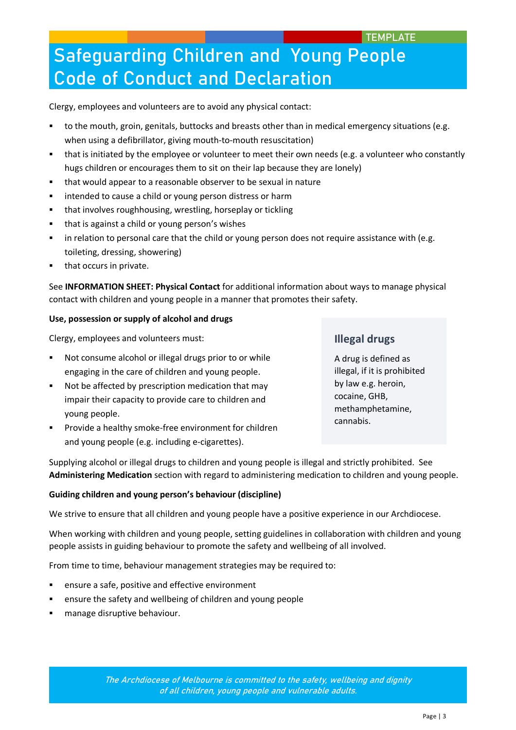Clergy, employees and volunteers are to avoid any physical contact:

- to the mouth, groin, genitals, buttocks and breasts other than in medical emergency situations (e.g. when using a defibrillator, giving mouth-to-mouth resuscitation)
- that is initiated by the employee or volunteer to meet their own needs (e.g. a volunteer who constantly hugs children or encourages them to sit on their lap because they are lonely)
- that would appear to a reasonable observer to be sexual in nature
- **EXECUTE:** intended to cause a child or young person distress or harm
- that involves roughhousing, wrestling, horseplay or tickling
- that is against a child or young person's wishes
- in relation to personal care that the child or young person does not require assistance with (e.g. toileting, dressing, showering)
- that occurs in private.

See **INFORMATION SHEET: Physical Contact** for additional information about ways to manage physical contact with children and young people in a manner that promotes their safety.

## **Use, possession or supply of alcohol and drugs**

Clergy, employees and volunteers must:

- Not consume alcohol or illegal drugs prior to or while engaging in the care of children and young people.
- Not be affected by prescription medication that may impair their capacity to provide care to children and young people.
- Provide a healthy smoke-free environment for children and young people (e.g. including e-cigarettes).

## **Illegal drugs**

A drug is defined as illegal, if it is prohibited by law e.g. heroin, cocaine, GHB, methamphetamine, cannabis.

Supplying alcohol or illegal drugs to children and young people is illegal and strictly prohibited. See **Administering Medication** section with regard to administering medication to children and young people.

### **Guiding children and young person's behaviour (discipline)**

We strive to ensure that all children and young people have a positive experience in our Archdiocese.

When working with children and young people, setting guidelines in collaboration with children and young people assists in guiding behaviour to promote the safety and wellbeing of all involved.

From time to time, behaviour management strategies may be required to:

- ensure a safe, positive and effective environment
- ensure the safety and wellbeing of children and young people
- manage disruptive behaviour.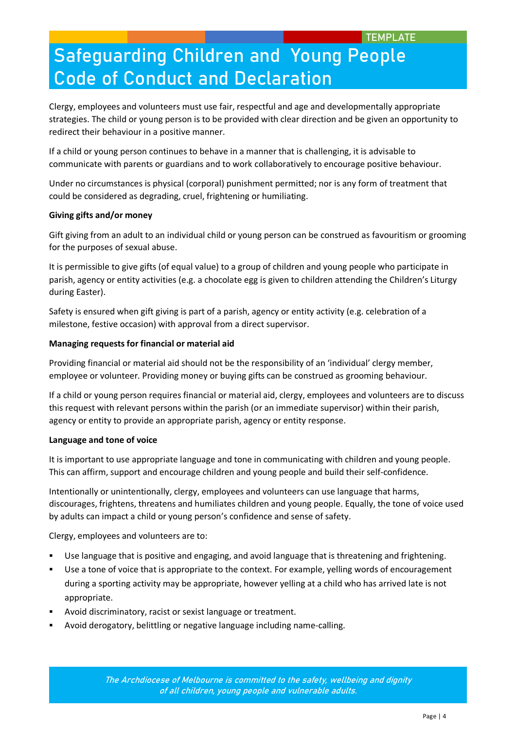Clergy, employees and volunteers must use fair, respectful and age and developmentally appropriate strategies. The child or young person is to be provided with clear direction and be given an opportunity to redirect their behaviour in a positive manner.

If a child or young person continues to behave in a manner that is challenging, it is advisable to communicate with parents or guardians and to work collaboratively to encourage positive behaviour.

Under no circumstances is physical (corporal) punishment permitted; nor is any form of treatment that could be considered as degrading, cruel, frightening or humiliating.

## **Giving gifts and/or money**

Gift giving from an adult to an individual child or young person can be construed as favouritism or grooming for the purposes of sexual abuse.

It is permissible to give gifts (of equal value) to a group of children and young people who participate in parish, agency or entity activities (e.g. a chocolate egg is given to children attending the Children's Liturgy during Easter).

Safety is ensured when gift giving is part of a parish, agency or entity activity (e.g. celebration of a milestone, festive occasion) with approval from a direct supervisor.

## **Managing requests for financial or material aid**

Providing financial or material aid should not be the responsibility of an 'individual' clergy member, employee or volunteer. Providing money or buying gifts can be construed as grooming behaviour.

If a child or young person requires financial or material aid, clergy, employees and volunteers are to discuss this request with relevant persons within the parish (or an immediate supervisor) within their parish, agency or entity to provide an appropriate parish, agency or entity response.

### **Language and tone of voice**

It is important to use appropriate language and tone in communicating with children and young people. This can affirm, support and encourage children and young people and build their self-confidence.

Intentionally or unintentionally, clergy, employees and volunteers can use language that harms, discourages, frightens, threatens and humiliates children and young people. Equally, the tone of voice used by adults can impact a child or young person's confidence and sense of safety.

Clergy, employees and volunteers are to:

- Use language that is positive and engaging, and avoid language that is threatening and frightening.
- Use a tone of voice that is appropriate to the context. For example, yelling words of encouragement during a sporting activity may be appropriate, however yelling at a child who has arrived late is not appropriate.
- Avoid discriminatory, racist or sexist language or treatment.
- Avoid derogatory, belittling or negative language including name-calling.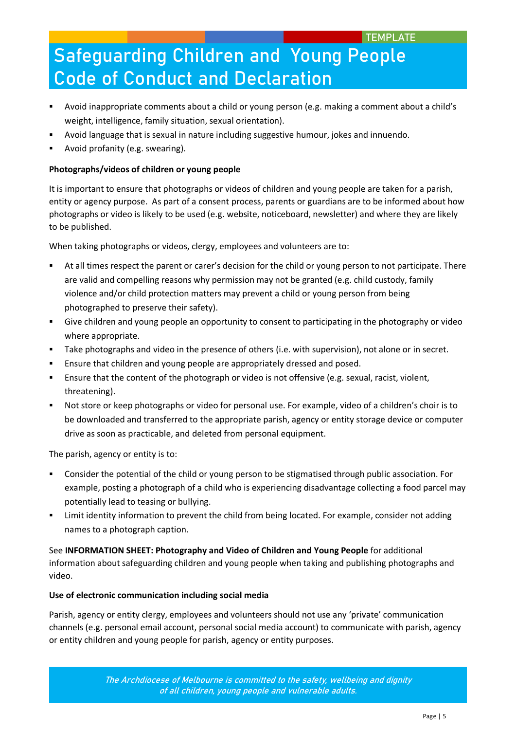- Avoid inappropriate comments about a child or young person (e.g. making a comment about a child's weight, intelligence, family situation, sexual orientation).
- Avoid language that is sexual in nature including suggestive humour, jokes and innuendo.
- Avoid profanity (e.g. swearing).

## **Photographs/videos of children or young people**

It is important to ensure that photographs or videos of children and young people are taken for a parish, entity or agency purpose. As part of a consent process, parents or guardians are to be informed about how photographs or video is likely to be used (e.g. website, noticeboard, newsletter) and where they are likely to be published.

When taking photographs or videos, clergy, employees and volunteers are to:

- At all times respect the parent or carer's decision for the child or young person to not participate. There are valid and compelling reasons why permission may not be granted (e.g. child custody, family violence and/or child protection matters may prevent a child or young person from being photographed to preserve their safety).
- Give children and young people an opportunity to consent to participating in the photography or video where appropriate.
- Take photographs and video in the presence of others (i.e. with supervision), not alone or in secret.
- Ensure that children and young people are appropriately dressed and posed.
- Ensure that the content of the photograph or video is not offensive (e.g. sexual, racist, violent, threatening).
- Not store or keep photographs or video for personal use. For example, video of a children's choir is to be downloaded and transferred to the appropriate parish, agency or entity storage device or computer drive as soon as practicable, and deleted from personal equipment.

The parish, agency or entity is to:

- Consider the potential of the child or young person to be stigmatised through public association. For example, posting a photograph of a child who is experiencing disadvantage collecting a food parcel may potentially lead to teasing or bullying.
- Limit identity information to prevent the child from being located. For example, consider not adding names to a photograph caption.

See **INFORMATION SHEET: Photography and Video of Children and Young People** for additional information about safeguarding children and young people when taking and publishing photographs and video.

## **Use of electronic communication including social media**

Parish, agency or entity clergy, employees and volunteers should not use any 'private' communication channels (e.g. personal email account, personal social media account) to communicate with parish, agency or entity children and young people for parish, agency or entity purposes.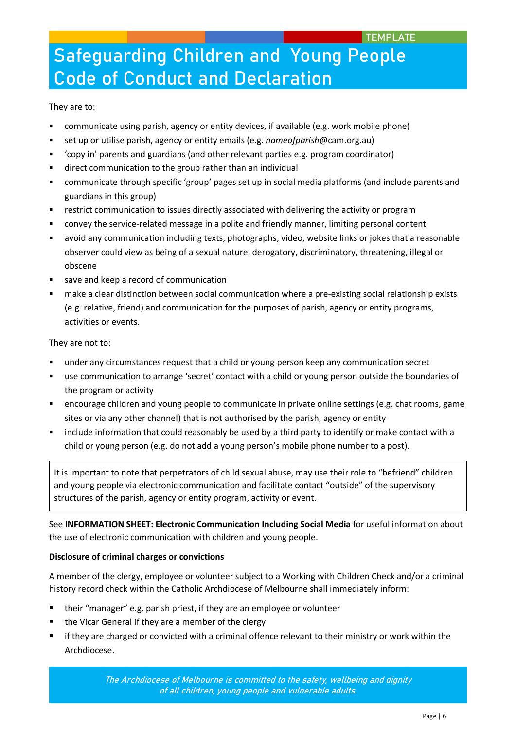They are to:

- communicate using parish, agency or entity devices, if available (e.g. work mobile phone)
- set up or utilise parish, agency or entity emails (e.g. *nameofparish*@cam.org.au)
- 'copy in' parents and guardians (and other relevant parties e.g. program coordinator)
- direct communication to the group rather than an individual
- communicate through specific 'group' pages set up in social media platforms (and include parents and guardians in this group)
- restrict communication to issues directly associated with delivering the activity or program
- convey the service-related message in a polite and friendly manner, limiting personal content
- avoid any communication including texts, photographs, video, website links or jokes that a reasonable observer could view as being of a sexual nature, derogatory, discriminatory, threatening, illegal or obscene
- save and keep a record of communication
- make a clear distinction between social communication where a pre-existing social relationship exists (e.g. relative, friend) and communication for the purposes of parish, agency or entity programs, activities or events.

They are not to:

- under any circumstances request that a child or young person keep any communication secret
- use communication to arrange 'secret' contact with a child or young person outside the boundaries of the program or activity
- encourage children and young people to communicate in private online settings (e.g. chat rooms, game sites or via any other channel) that is not authorised by the parish, agency or entity
- include information that could reasonably be used by a third party to identify or make contact with a child or young person (e.g. do not add a young person's mobile phone number to a post).

It is important to note that perpetrators of child sexual abuse, may use their role to "befriend" children and young people via electronic communication and facilitate contact "outside" of the supervisory structures of the parish, agency or entity program, activity or event.

See **INFORMATION SHEET: Electronic Communication Including Social Media** for useful information about the use of electronic communication with children and young people.

## **Disclosure of criminal charges or convictions**

A member of the clergy, employee or volunteer subject to a Working with Children Check and/or a criminal history record check within the Catholic Archdiocese of Melbourne shall immediately inform:

- their "manager" e.g. parish priest, if they are an employee or volunteer
- the Vicar General if they are a member of the clergy
- if they are charged or convicted with a criminal offence relevant to their ministry or work within the Archdiocese.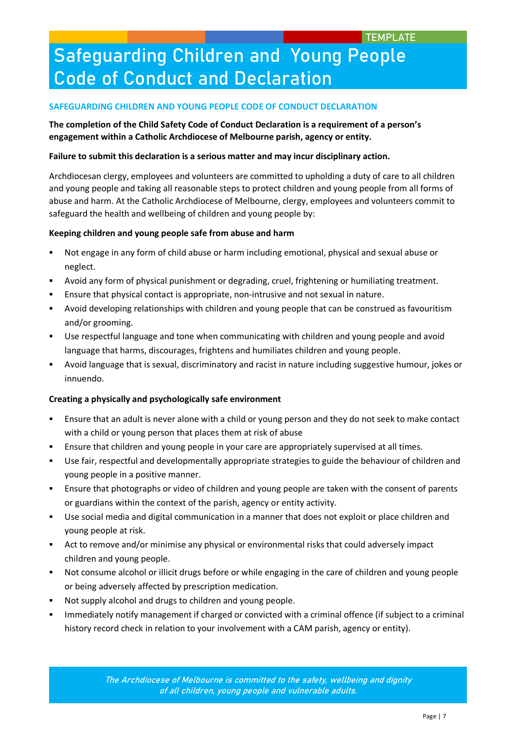### **SAFEGUARDING CHILDREN AND YOUNG PEOPLE CODE OF CONDUCT DECLARATION**

## **The completion of the Child Safety Code of Conduct Declaration is a requirement of a person's engagement within a Catholic Archdiocese of Melbourne parish, agency or entity.**

### **Failure to submit this declaration is a serious matter and may incur disciplinary action.**

Archdiocesan clergy, employees and volunteers are committed to upholding a duty of care to all children and young people and taking all reasonable steps to protect children and young people from all forms of abuse and harm. At the Catholic Archdiocese of Melbourne, clergy, employees and volunteers commit to safeguard the health and wellbeing of children and young people by:

### **Keeping children and young people safe from abuse and harm**

- Not engage in any form of child abuse or harm including emotional, physical and sexual abuse or neglect.
- Avoid any form of physical punishment or degrading, cruel, frightening or humiliating treatment.
- Ensure that physical contact is appropriate, non-intrusive and not sexual in nature.
- Avoid developing relationships with children and young people that can be construed as favouritism and/or grooming.
- Use respectful language and tone when communicating with children and young people and avoid language that harms, discourages, frightens and humiliates children and young people.
- Avoid language that is sexual, discriminatory and racist in nature including suggestive humour, jokes or innuendo.

### **Creating a physically and psychologically safe environment**

- Ensure that an adult is never alone with a child or young person and they do not seek to make contact with a child or young person that places them at risk of abuse
- Ensure that children and young people in your care are appropriately supervised at all times.
- Use fair, respectful and developmentally appropriate strategies to guide the behaviour of children and young people in a positive manner.
- Ensure that photographs or video of children and young people are taken with the consent of parents or guardians within the context of the parish, agency or entity activity.
- Use social media and digital communication in a manner that does not exploit or place children and young people at risk.
- Act to remove and/or minimise any physical or environmental risks that could adversely impact children and young people.
- Not consume alcohol or illicit drugs before or while engaging in the care of children and young people or being adversely affected by prescription medication.
- Not supply alcohol and drugs to children and young people.
- Immediately notify management if charged or convicted with a criminal offence (if subject to a criminal history record check in relation to your involvement with a CAM parish, agency or entity).